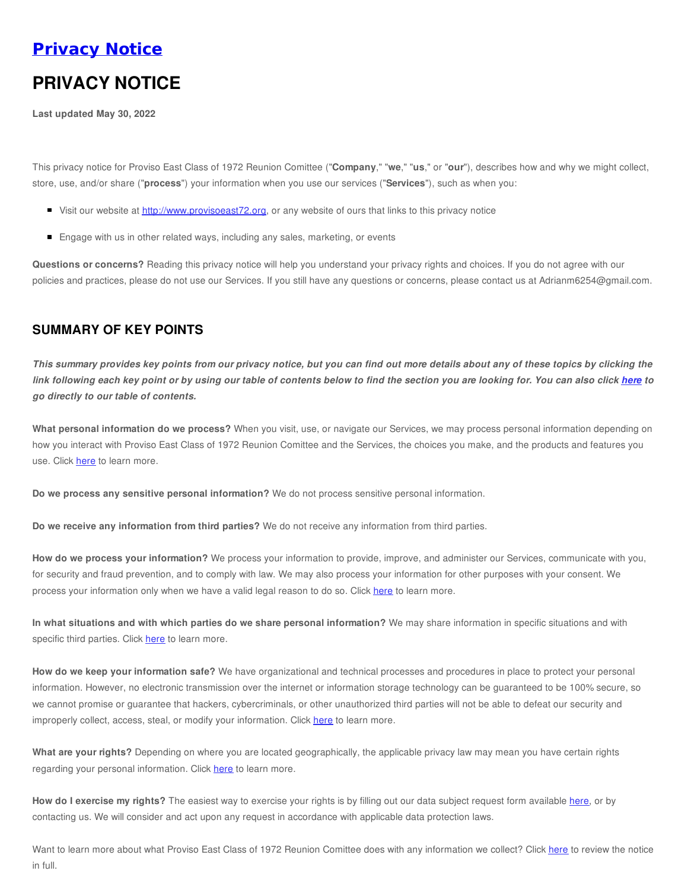## **[Privacy](https://www.provisoeast72.org/privacy-notice) Notice**

# **PRIVACY NOTICE**

**Last updated May 30, 2022**

This privacy notice for Proviso East Class of 1972 Reunion Comittee ("**Company**," "**we**," "**us**," or "**our**"), describes how and why we might collect, store, use, and/or share ("**process**") your information when you use our services ("**Services**"), such as when you:

- Visit our website at <http://www.provisoeast72.org>, or any website of ours that links to this privacy notice
- **Engage with us in other related ways, including any sales, marketing, or events**

**Questions or concerns?** Reading this privacy notice will help you understand your privacy rights and choices. If you do not agree with our policies and practices, please do not use our Services. If you still have any questions or concerns, please contact us at Adrianm6254@gmail.com.

#### **SUMMARY OF KEY POINTS**

This summary provides key points from our privacy notice, but you can find out more details about any of these topics by clicking the link following each key point or by using our table of contents below to find the section you are looking for. You can also click [here](#page-1-0) to *go directly to our table of contents.*

**What personal information do we process?** When you visit, use, or navigate our Services, we may process personal information depending on how you interact with Proviso East Class of 1972 Reunion Comittee and the Services, the choices you make, and the products and features you use. Click [here](#page-1-1) to learn more.

**Do we process any sensitive personal information?** We do not process sensitive personal information.

**Do we receive any information from third parties?** We do not receive any information from third parties.

**How do we process your information?** We process your information to provide, improve, and administer our Services, communicate with you, for security and fraud prevention, and to comply with law. We may also process your information for other purposes with your consent. We process your information only when we have a valid legal reason to do so. Click [here](#page-2-0) to learn more.

**In what situations and with which parties do we share personal information?** We may share information in specific situations and with specific third parties. Click [here](#page-2-1) to learn more.

**How do we keep your information safe?** We have organizational and technical processes and procedures in place to protect your personal information. However, no electronic transmission over the internet or information storage technology can be guaranteed to be 100% secure, so we cannot promise or guarantee that hackers, cybercriminals, or other unauthorized third parties will not be able to defeat our security and improperly collect, access, steal, or modify your information. Click [here](#page-3-0) to learn more.

**What are your rights?** Depending on where you are located geographically, the applicable privacy law may mean you have certain rights regarding your personal information. Click [here](#page-3-1) to learn more.

**How do I exercise my rights?** The easiest way to exercise your rights is by filling out our data subject request form available [here](https://app.termly.io/notify/9de1460f-a60e-4a0a-8c42-a98f7b5bec92), or by contacting us. We will consider and act upon any request in accordance with applicable data protection laws.

Want to learn more about what Proviso East Class of 1972 Reunion Comittee does with any information we collect? Click [here](#page-1-0) to review the notice in full.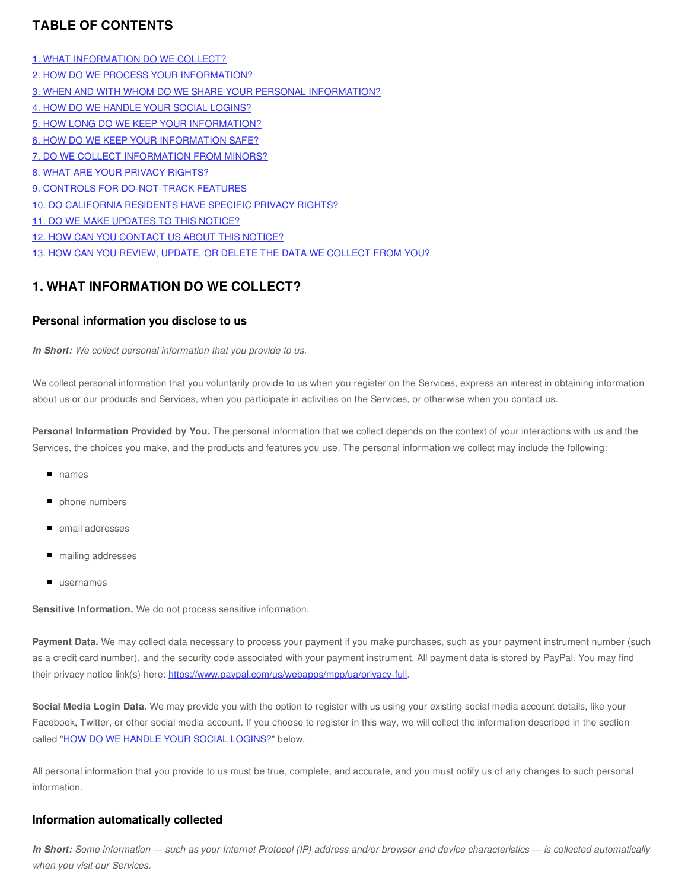#### <span id="page-1-0"></span>**TABLE OF CONTENTS**

1. WHAT [INFORMATION](#page-1-2) DO WE COLLECT? 2. HOW DO WE PROCESS YOUR [INFORMATION?](#page-2-0) 3. WHEN AND WITH WHOM DO WE SHARE YOUR PERSONAL [INFORMATION?](#page-2-1) 4. HOW DO WE HANDLE YOUR SOCIAL [LOGINS?](#page-2-2) 5. HOW LONG DO WE KEEP YOUR [INFORMATION?](#page-3-2) 6. HOW DO WE KEEP YOUR [INFORMATION](#page-3-0) SAFE? 7. DO WE COLLECT [INFORMATION](#page-3-3) FROM MINORS? 8. WHAT ARE YOUR [PRIVACY](#page-3-1) RIGHTS? 9. CONTROLS FOR [DO-NOT-TRACK](#page-4-0) FEATURES 10. DO [CALIFORNIA](#page-4-1) RESIDENTS HAVE SPECIFIC PRIVACY RIGHTS? 11. DO WE MAKE [UPDATES](#page-4-2) TO THIS NOTICE? 12. HOW CAN YOU [CONTACT](#page-4-3) US ABOUT THIS NOTICE? 13. HOW CAN YOU REVIEW, UPDATE, OR DELETE THE DATA WE [COLLECT](#page-5-0) FROM YOU?

#### <span id="page-1-2"></span>**1. WHAT INFORMATION DO WE COLLECT?**

#### <span id="page-1-1"></span>**Personal information you disclose to us**

*In Short: We collect personal information that you provide to us.*

We collect personal information that you voluntarily provide to us when you register on the Services, express an interest in obtaining information about us or our products and Services, when you participate in activities on the Services, or otherwise when you contact us.

**Personal Information Provided by You.** The personal information that we collect depends on the context of your interactions with us and the Services, the choices you make, and the products and features you use. The personal information we collect may include the following:

- names
- phone numbers
- email addresses
- mailing addresses
- **usernames**

**Sensitive Information.** We do not process sensitive information.

**Payment Data.** We may collect data necessary to process your payment if you make purchases, such as your payment instrument number (such as a credit card number), and the security code associated with your payment instrument. All payment data is stored by PayPal. You may find their privacy notice link(s) here: <https://www.paypal.com/us/webapps/mpp/ua/privacy-full>.

**Social Media Login Data.** We may provide you with the option to register with us using your existing social media account details, like your Facebook, Twitter, or other social media account. If you choose to register in this way, we will collect the information described in the section called "HOW DO WE HANDLE YOUR SOCIAL [LOGINS?"](#page-2-2) below.

All personal information that you provide to us must be true, complete, and accurate, and you must notify us of any changes to such personal information.

#### **Information automatically collected**

In Short: Some information — such as your Internet Protocol (IP) address and/or browser and device characteristics — is collected automatically *when you visit our Services.*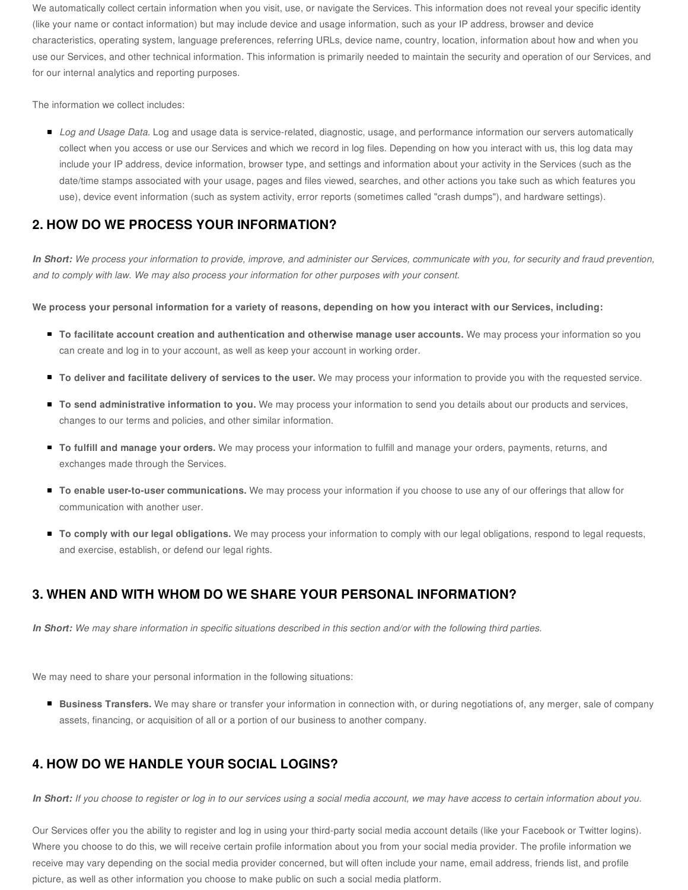We automatically collect certain information when you visit, use, or navigate the Services. This information does not reveal your specific identity (like your name or contact information) but may include device and usage information, such as your IP address, browser and device characteristics, operating system, language preferences, referring URLs, device name, country, location, information about how and when you use our Services, and other technical information. This information is primarily needed to maintain the security and operation of our Services, and for our internal analytics and reporting purposes.

The information we collect includes:

■ *Log and Usage Data*. Log and usage data is service-related, diagnostic, usage, and performance information our servers automatically collect when you access or use our Services and which we record in log files. Depending on how you interact with us, this log data may include your IP address, device information, browser type, and settings and information about your activity in the Services (such as the date/time stamps associated with your usage, pages and files viewed, searches, and other actions you take such as which features you use), device event information (such as system activity, error reports (sometimes called "crash dumps"), and hardware settings).

#### <span id="page-2-0"></span>**2. HOW DO WE PROCESS YOUR INFORMATION?**

In Short: We process your information to provide, improve, and administer our Services, communicate with you, for security and fraud prevention, *and to comply with law. We may also process your information for other purposes with your consent.*

We process your personal information for a variety of reasons, depending on how you interact with our Services, including:

- **To facilitate account creation and authentication and otherwise manage user accounts.** We may process your information so you can create and log in to your account, as well as keep your account in working order.
- **To deliver and facilitate delivery of services to the user.** We may process your information to provide you with the requested service.
- **To send administrative information to you.** We may process your information to send you details about our products and services, changes to our terms and policies, and other similar information.
- **To fulfill and manage your orders.** We may process your information to fulfill and manage your orders, payments, returns, and exchanges made through the Services.
- **To enable user-to-user communications.** We may process your information if you choose to use any of our offerings that allow for communication with another user.
- **To comply with our legal obligations.** We may process your information to comply with our legal obligations, respond to legal requests, and exercise, establish, or defend our legal rights.

### <span id="page-2-1"></span>**3. WHEN AND WITH WHOM DO WE SHARE YOUR PERSONAL INFORMATION?**

In Short: We may share information in specific situations described in this section and/or with the following third parties.

We may need to share your personal information in the following situations:

**Business Transfers.** We may share or transfer your information in connection with, or during negotiations of, any merger, sale of company assets, financing, or acquisition of all or a portion of our business to another company.

#### <span id="page-2-2"></span>**4. HOW DO WE HANDLE YOUR SOCIAL LOGINS?**

In Short: If you choose to register or log in to our services using a social media account, we may have access to certain information about you.

Our Services offer you the ability to register and log in using your third-party social media account details (like your Facebook or Twitter logins). Where you choose to do this, we will receive certain profile information about you from your social media provider. The profile information we receive may vary depending on the social media provider concerned, but will often include your name, email address, friends list, and profile picture, as well as other information you choose to make public on such a social media platform.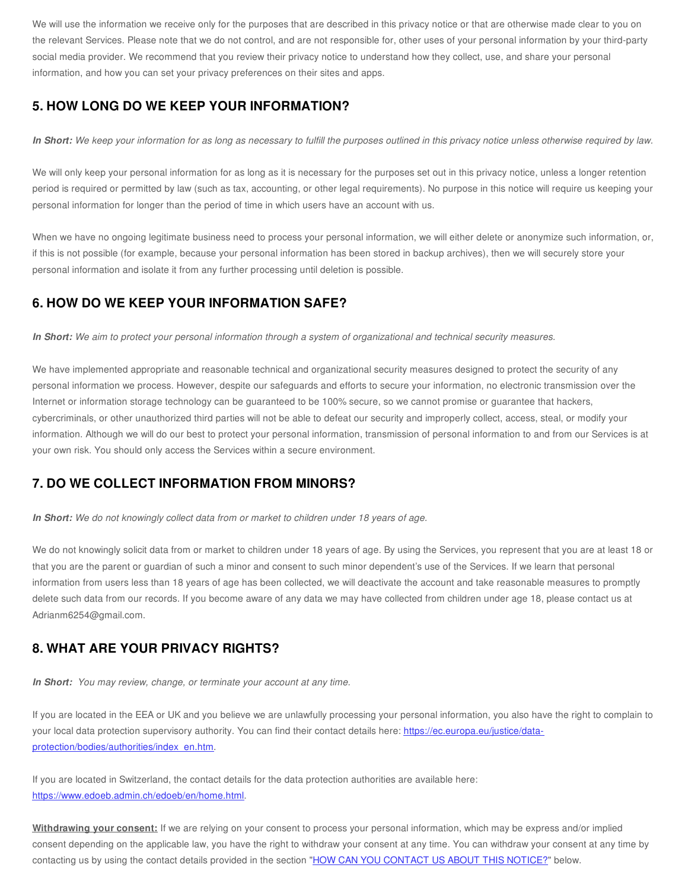We will use the information we receive only for the purposes that are described in this privacy notice or that are otherwise made clear to you on the relevant Services. Please note that we do not control, and are not responsible for, other uses of your personal information by your third-party social media provider. We recommend that you review their privacy notice to understand how they collect, use, and share your personal information, and how you can set your privacy preferences on their sites and apps.

#### <span id="page-3-2"></span>**5. HOW LONG DO WE KEEP YOUR INFORMATION?**

In Short: We keep your information for as long as necessary to fulfill the purposes outlined in this privacy notice unless otherwise required by law.

We will only keep your personal information for as long as it is necessary for the purposes set out in this privacy notice, unless a longer retention period is required or permitted by law (such as tax, accounting, or other legal requirements). No purpose in this notice will require us keeping your personal information for longer than the period of time in which users have an account with us.

When we have no ongoing legitimate business need to process your personal information, we will either delete or anonymize such information, or, if this is not possible (for example, because your personal information has been stored in backup archives), then we will securely store your personal information and isolate it from any further processing until deletion is possible.

#### <span id="page-3-0"></span>**6. HOW DO WE KEEP YOUR INFORMATION SAFE?**

In Short: We aim to protect your personal information through a system of organizational and technical security measures.

We have implemented appropriate and reasonable technical and organizational security measures designed to protect the security of any personal information we process. However, despite our safeguards and efforts to secure your information, no electronic transmission over the Internet or information storage technology can be guaranteed to be 100% secure, so we cannot promise or guarantee that hackers, cybercriminals, or other unauthorized third parties will not be able to defeat our security and improperly collect, access, steal, or modify your information. Although we will do our best to protect your personal information, transmission of personal information to and from our Services is at your own risk. You should only access the Services within a secure environment.

#### <span id="page-3-3"></span>**7. DO WE COLLECT INFORMATION FROM MINORS?**

*In Short: We do not knowingly collect data from or market to children under 18 years of age.*

We do not knowingly solicit data from or market to children under 18 years of age. By using the Services, you represent that you are at least 18 or that you are the parent or guardian of such a minor and consent to such minor dependent's use of the Services. If we learn that personal information from users less than 18 years of age has been collected, we will deactivate the account and take reasonable measures to promptly delete such data from our records. If you become aware of any data we may have collected from children under age 18, please contact us at Adrianm6254@gmail.com.

#### <span id="page-3-1"></span>**8. WHAT ARE YOUR PRIVACY RIGHTS?**

*In Short: You may review, change, or terminate your account at any time.*

If you are located in the EEA or UK and you believe we are unlawfully processing your personal information, you also have the right to complain to your local data protection supervisory authority. You can find their contact details here: https://ec.europa.eu/justice/data[protection/bodies/authorities/index\\_en.htm.](https://ec.europa.eu/justice/data-protection/bodies/authorities/index_en.htm)

If you are located in Switzerland, the contact details for the data protection authorities are available here: <https://www.edoeb.admin.ch/edoeb/en/home.html>.

**Withdrawing your consent:** If we are relying on your consent to process your personal information, which may be express and/or implied consent depending on the applicable law, you have the right to withdraw your consent at any time. You can withdraw your consent at any time by contacting us by using the contact details provided in the section "HOW CAN YOU [CONTACT](#page-4-3) US ABOUT THIS NOTICE?" below.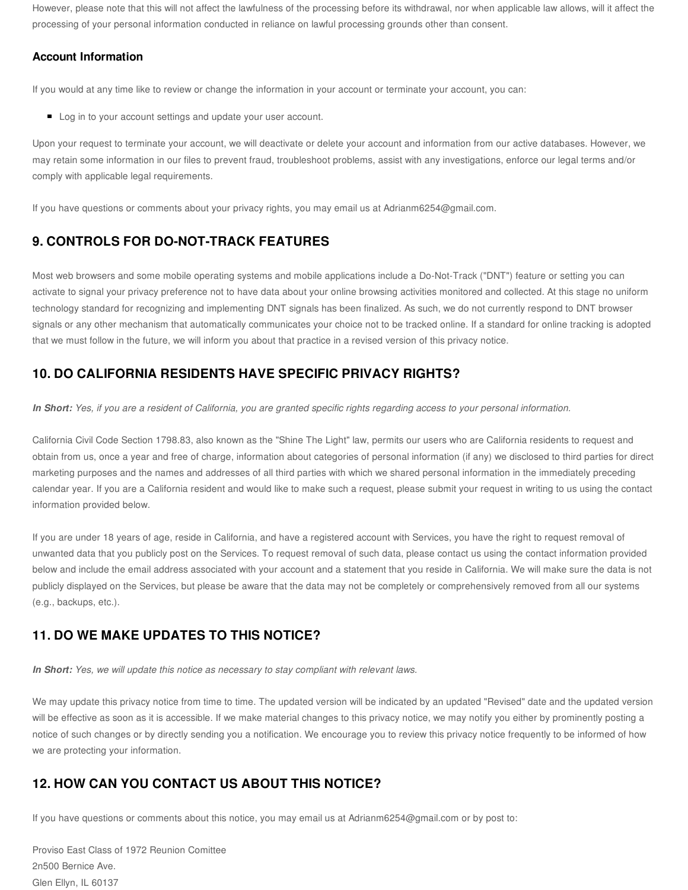However, please note that this will not affect the lawfulness of the processing before its withdrawal, nor when applicable law allows, will it affect the processing of your personal information conducted in reliance on lawful processing grounds other than consent.

#### **Account Information**

If you would at any time like to review or change the information in your account or terminate your account, you can:

Log in to your account settings and update your user account.

Upon your request to terminate your account, we will deactivate or delete your account and information from our active databases. However, we may retain some information in our files to prevent fraud, troubleshoot problems, assist with any investigations, enforce our legal terms and/or comply with applicable legal requirements.

If you have questions or comments about your privacy rights, you may email us at Adrianm6254@gmail.com.

#### <span id="page-4-0"></span>**9. CONTROLS FOR DO-NOT-TRACK FEATURES**

Most web browsers and some mobile operating systems and mobile applications include a Do-Not-Track ("DNT") feature or setting you can activate to signal your privacy preference not to have data about your online browsing activities monitored and collected. At this stage no uniform technology standard for recognizing and implementing DNT signals has been finalized. As such, we do not currently respond to DNT browser signals or any other mechanism that automatically communicates your choice not to be tracked online. If a standard for online tracking is adopted that we must follow in the future, we will inform you about that practice in a revised version of this privacy notice.

#### <span id="page-4-1"></span>**10. DO CALIFORNIA RESIDENTS HAVE SPECIFIC PRIVACY RIGHTS?**

In Short: Yes, if you are a resident of California, you are granted specific rights regarding access to your personal information.

California Civil Code Section 1798.83, also known as the "Shine The Light" law, permits our users who are California residents to request and obtain from us, once a year and free of charge, information about categories of personal information (if any) we disclosed to third parties for direct marketing purposes and the names and addresses of all third parties with which we shared personal information in the immediately preceding calendar year. If you are a California resident and would like to make such a request, please submit your request in writing to us using the contact information provided below.

If you are under 18 years of age, reside in California, and have a registered account with Services, you have the right to request removal of unwanted data that you publicly post on the Services. To request removal of such data, please contact us using the contact information provided below and include the email address associated with your account and a statement that you reside in California. We will make sure the data is not publicly displayed on the Services, but please be aware that the data may not be completely or comprehensively removed from all our systems (e.g., backups, etc.).

### <span id="page-4-2"></span>**11. DO WE MAKE UPDATES TO THIS NOTICE?**

*In Short: Yes, we will update this notice as necessary to stay compliant with relevant laws.*

We may update this privacy notice from time to time. The updated version will be indicated by an updated "Revised" date and the updated version will be effective as soon as it is accessible. If we make material changes to this privacy notice, we may notify you either by prominently posting a notice of such changes or by directly sending you a notification. We encourage you to review this privacy notice frequently to be informed of how we are protecting your information.

### <span id="page-4-3"></span>**12. HOW CAN YOU CONTACT US ABOUT THIS NOTICE?**

If you have questions or comments about this notice, you may email us at Adrianm6254@gmail.com or by post to:

Proviso East Class of 1972 Reunion Comittee 2n500 Bernice Ave. Glen Ellyn, IL 60137